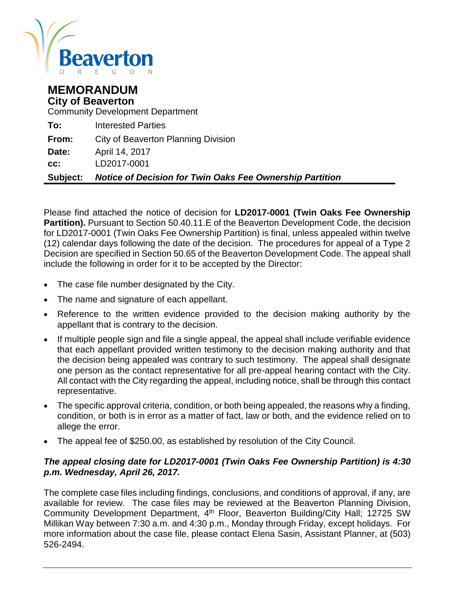

## **MEMORANDUM City of Beaverton**

Community Development Department

| <b>Subject:</b> | <b>Notice of Decision for Twin Oaks Fee Ownership Partition</b> |
|-----------------|-----------------------------------------------------------------|
| CC:             | LD2017-0001                                                     |
| Date:           | April 14, 2017                                                  |
| From:           | City of Beaverton Planning Division                             |
| To:             | <b>Interested Parties</b>                                       |

Please find attached the notice of decision for **LD2017-0001 (Twin Oaks Fee Ownership Partition).** Pursuant to Section 50.40.11.E of the Beaverton Development Code, the decision for LD2017-0001 (Twin Oaks Fee Ownership Partition) is final, unless appealed within twelve (12) calendar days following the date of the decision. The procedures for appeal of a Type 2 Decision are specified in Section 50.65 of the Beaverton Development Code. The appeal shall include the following in order for it to be accepted by the Director:

- The case file number designated by the City.
- The name and signature of each appellant.
- Reference to the written evidence provided to the decision making authority by the appellant that is contrary to the decision.
- If multiple people sign and file a single appeal, the appeal shall include verifiable evidence that each appellant provided written testimony to the decision making authority and that the decision being appealed was contrary to such testimony. The appeal shall designate one person as the contact representative for all pre-appeal hearing contact with the City. All contact with the City regarding the appeal, including notice, shall be through this contact representative.
- The specific approval criteria, condition, or both being appealed, the reasons why a finding, condition, or both is in error as a matter of fact, law or both, and the evidence relied on to allege the error.
- The appeal fee of \$250.00, as established by resolution of the City Council.

## *The appeal closing date for LD2017-0001 (Twin Oaks Fee Ownership Partition) is 4:30 p.m. Wednesday, April 26, 2017.*

The complete case files including findings, conclusions, and conditions of approval, if any, are available for review. The case files may be reviewed at the Beaverton Planning Division, Community Development Department, 4<sup>th</sup> Floor, Beaverton Building/City Hall; 12725 SW Millikan Way between 7:30 a.m. and 4:30 p.m., Monday through Friday, except holidays. For more information about the case file, please contact Elena Sasin, Assistant Planner, at (503) 526-2494.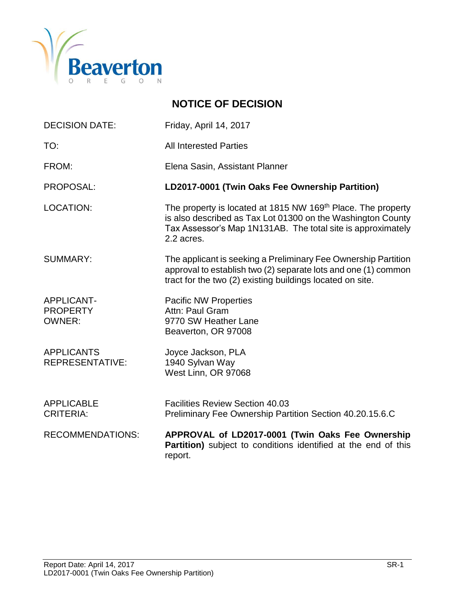

# **NOTICE OF DECISION**

| <b>DECISION DATE:</b>                                 | Friday, April 14, 2017                                                                                                                                                                                   |
|-------------------------------------------------------|----------------------------------------------------------------------------------------------------------------------------------------------------------------------------------------------------------|
| TO:                                                   | <b>All Interested Parties</b>                                                                                                                                                                            |
| FROM:                                                 | Elena Sasin, Assistant Planner                                                                                                                                                                           |
| PROPOSAL:                                             | LD2017-0001 (Twin Oaks Fee Ownership Partition)                                                                                                                                                          |
| <b>LOCATION:</b>                                      | The property is located at 1815 NW 169th Place. The property<br>is also described as Tax Lot 01300 on the Washington County<br>Tax Assessor's Map 1N131AB. The total site is approximately<br>2.2 acres. |
| <b>SUMMARY:</b>                                       | The applicant is seeking a Preliminary Fee Ownership Partition<br>approval to establish two (2) separate lots and one (1) common<br>tract for the two (2) existing buildings located on site.            |
| <b>APPLICANT-</b><br><b>PROPERTY</b><br><b>OWNER:</b> | <b>Pacific NW Properties</b><br>Attn: Paul Gram<br>9770 SW Heather Lane<br>Beaverton, OR 97008                                                                                                           |
| <b>APPLICANTS</b><br><b>REPRESENTATIVE:</b>           | Joyce Jackson, PLA<br>1940 Sylvan Way<br>West Linn, OR 97068                                                                                                                                             |
| <b>APPLICABLE</b><br><b>CRITERIA:</b>                 | <b>Facilities Review Section 40.03</b><br>Preliminary Fee Ownership Partition Section 40.20.15.6.C                                                                                                       |
| <b>RECOMMENDATIONS:</b>                               | APPROVAL of LD2017-0001 (Twin Oaks Fee Ownership<br>Partition) subject to conditions identified at the end of this<br>report.                                                                            |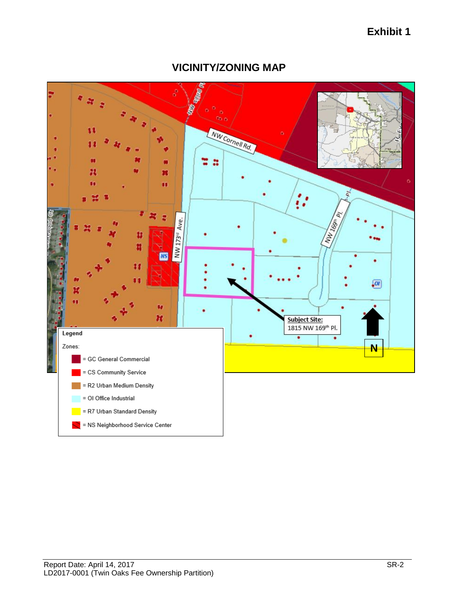# **Exhibit 1**



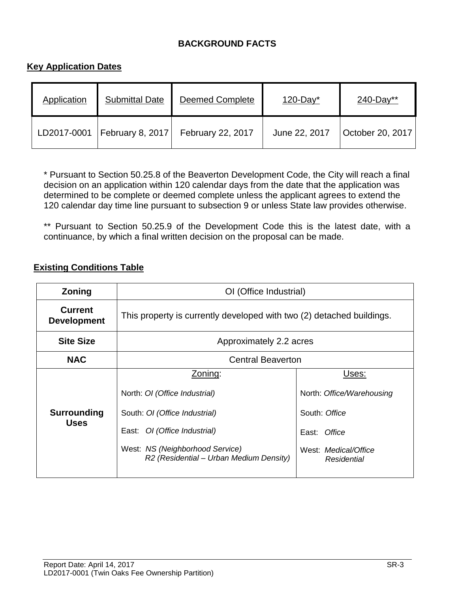## **BACKGROUND FACTS**

## **Key Application Dates**

| Application | <b>Submittal Date</b> | <b>Deemed Complete</b> | $120$ -Day <sup>*</sup> | 240-Day**        |
|-------------|-----------------------|------------------------|-------------------------|------------------|
| LD2017-0001 | February 8, 2017      | February 22, 2017      | June 22, 2017           | October 20, 2017 |

\* Pursuant to Section 50.25.8 of the Beaverton Development Code, the City will reach a final decision on an application within 120 calendar days from the date that the application was determined to be complete or deemed complete unless the applicant agrees to extend the 120 calendar day time line pursuant to subsection 9 or unless State law provides otherwise.

\*\* Pursuant to Section 50.25.9 of the Development Code this is the latest date, with a continuance, by which a final written decision on the proposal can be made.

#### **Existing Conditions Table**

| <b>Current</b>                                                                                                                                                                                                                                                                                                                                |                                                                       |  |  |  |
|-----------------------------------------------------------------------------------------------------------------------------------------------------------------------------------------------------------------------------------------------------------------------------------------------------------------------------------------------|-----------------------------------------------------------------------|--|--|--|
| <b>Development</b>                                                                                                                                                                                                                                                                                                                            | This property is currently developed with two (2) detached buildings. |  |  |  |
| <b>Site Size</b><br>Approximately 2.2 acres                                                                                                                                                                                                                                                                                                   |                                                                       |  |  |  |
| <b>NAC</b><br><b>Central Beaverton</b>                                                                                                                                                                                                                                                                                                        |                                                                       |  |  |  |
| Zoning:<br>Uses:<br>North: OI (Office Industrial)<br>North: Office/Warehousing<br><b>Surrounding</b><br>South: OI (Office Industrial)<br>South: Office<br><b>Uses</b><br>East: OI (Office Industrial)<br>Office<br>East:<br>West: NS (Neighborhood Service)<br>West: Medical/Office<br>R2 (Residential - Urban Medium Density)<br>Residential |                                                                       |  |  |  |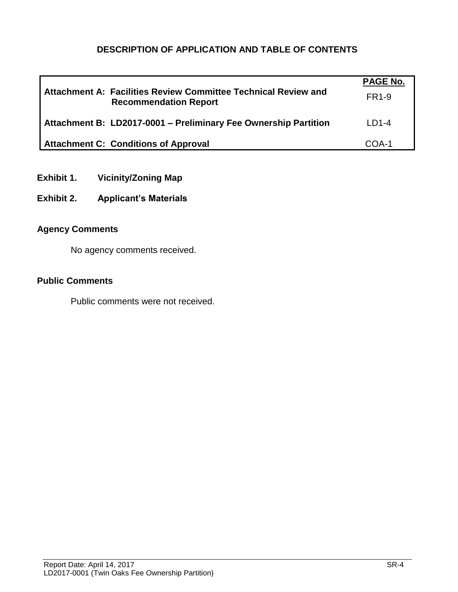## **DESCRIPTION OF APPLICATION AND TABLE OF CONTENTS**

|                                                                                                | <b>PAGE No.</b> |
|------------------------------------------------------------------------------------------------|-----------------|
| Attachment A: Facilities Review Committee Technical Review and<br><b>Recommendation Report</b> | FR1-9           |
| Attachment B: LD2017-0001 - Preliminary Fee Ownership Partition                                | $LD1-4$         |
| <b>Attachment C: Conditions of Approval</b>                                                    | COA-1           |

- **Exhibit 1. Vicinity/Zoning Map**
- **Exhibit 2. Applicant's Materials**

## **Agency Comments**

No agency comments received.

## **Public Comments**

Public comments were not received.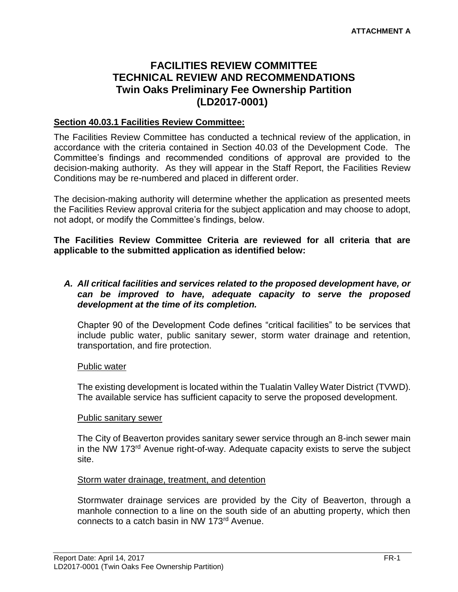# **FACILITIES REVIEW COMMITTEE TECHNICAL REVIEW AND RECOMMENDATIONS Twin Oaks Preliminary Fee Ownership Partition (LD2017-0001)**

## **Section 40.03.1 Facilities Review Committee:**

The Facilities Review Committee has conducted a technical review of the application, in accordance with the criteria contained in Section 40.03 of the Development Code. The Committee's findings and recommended conditions of approval are provided to the decision-making authority. As they will appear in the Staff Report, the Facilities Review Conditions may be re-numbered and placed in different order.

The decision-making authority will determine whether the application as presented meets the Facilities Review approval criteria for the subject application and may choose to adopt, not adopt, or modify the Committee's findings, below.

**The Facilities Review Committee Criteria are reviewed for all criteria that are applicable to the submitted application as identified below:**

#### *A. All critical facilities and services related to the proposed development have, or can be improved to have, adequate capacity to serve the proposed development at the time of its completion.*

Chapter 90 of the Development Code defines "critical facilities" to be services that include public water, public sanitary sewer, storm water drainage and retention, transportation, and fire protection.

#### Public water

The existing development is located within the Tualatin Valley Water District (TVWD). The available service has sufficient capacity to serve the proposed development.

#### Public sanitary sewer

The City of Beaverton provides sanitary sewer service through an 8-inch sewer main in the NW 173rd Avenue right-of-way. Adequate capacity exists to serve the subject site.

#### Storm water drainage, treatment, and detention

Stormwater drainage services are provided by the City of Beaverton, through a manhole connection to a line on the south side of an abutting property, which then connects to a catch basin in NW 173rd Avenue.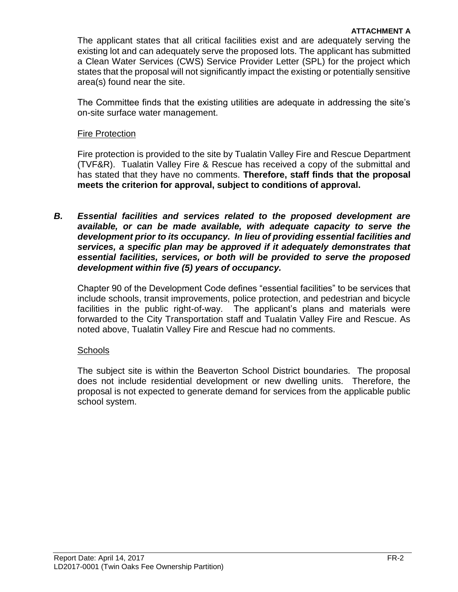The applicant states that all critical facilities exist and are adequately serving the existing lot and can adequately serve the proposed lots. The applicant has submitted a Clean Water Services (CWS) Service Provider Letter (SPL) for the project which states that the proposal will not significantly impact the existing or potentially sensitive area(s) found near the site.

The Committee finds that the existing utilities are adequate in addressing the site's on-site surface water management.

## Fire Protection

Fire protection is provided to the site by Tualatin Valley Fire and Rescue Department (TVF&R). Tualatin Valley Fire & Rescue has received a copy of the submittal and has stated that they have no comments. **Therefore, staff finds that the proposal meets the criterion for approval, subject to conditions of approval.**

*B. Essential facilities and services related to the proposed development are available, or can be made available, with adequate capacity to serve the development prior to its occupancy. In lieu of providing essential facilities and services, a specific plan may be approved if it adequately demonstrates that essential facilities, services, or both will be provided to serve the proposed development within five (5) years of occupancy.*

Chapter 90 of the Development Code defines "essential facilities" to be services that include schools, transit improvements, police protection, and pedestrian and bicycle facilities in the public right-of-way. The applicant's plans and materials were forwarded to the City Transportation staff and Tualatin Valley Fire and Rescue. As noted above, Tualatin Valley Fire and Rescue had no comments.

#### Schools

The subject site is within the Beaverton School District boundaries. The proposal does not include residential development or new dwelling units. Therefore, the proposal is not expected to generate demand for services from the applicable public school system.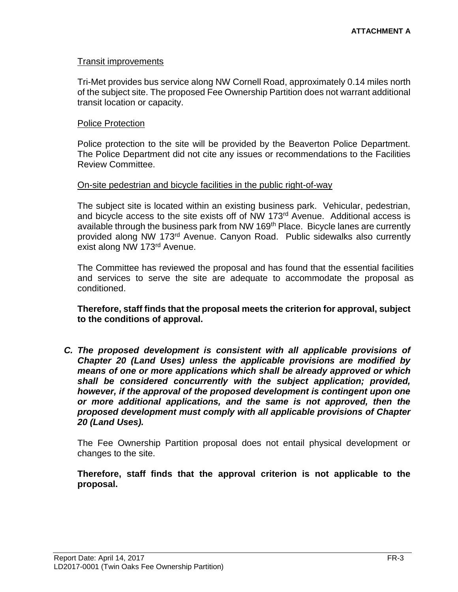#### Transit improvements

Tri-Met provides bus service along NW Cornell Road, approximately 0.14 miles north of the subject site. The proposed Fee Ownership Partition does not warrant additional transit location or capacity.

#### Police Protection

Police protection to the site will be provided by the Beaverton Police Department. The Police Department did not cite any issues or recommendations to the Facilities Review Committee.

#### On-site pedestrian and bicycle facilities in the public right-of-way

The subject site is located within an existing business park. Vehicular, pedestrian, and bicycle access to the site exists off of NW 173<sup>rd</sup> Avenue. Additional access is available through the business park from NW 169<sup>th</sup> Place. Bicycle lanes are currently provided along NW 173rd Avenue. Canyon Road. Public sidewalks also currently exist along NW 173rd Avenue.

The Committee has reviewed the proposal and has found that the essential facilities and services to serve the site are adequate to accommodate the proposal as conditioned.

**Therefore, staff finds that the proposal meets the criterion for approval, subject to the conditions of approval.**

*C. The proposed development is consistent with all applicable provisions of Chapter 20 (Land Uses) unless the applicable provisions are modified by means of one or more applications which shall be already approved or which shall be considered concurrently with the subject application; provided, however, if the approval of the proposed development is contingent upon one or more additional applications, and the same is not approved, then the proposed development must comply with all applicable provisions of Chapter 20 (Land Uses).*

The Fee Ownership Partition proposal does not entail physical development or changes to the site.

**Therefore, staff finds that the approval criterion is not applicable to the proposal.**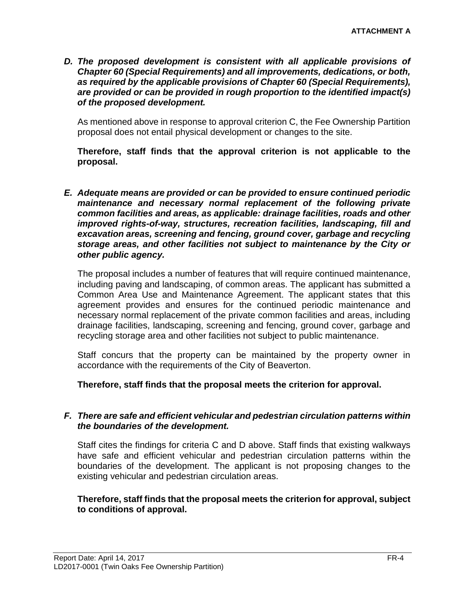*D. The proposed development is consistent with all applicable provisions of Chapter 60 (Special Requirements) and all improvements, dedications, or both, as required by the applicable provisions of Chapter 60 (Special Requirements), are provided or can be provided in rough proportion to the identified impact(s) of the proposed development.*

As mentioned above in response to approval criterion C, the Fee Ownership Partition proposal does not entail physical development or changes to the site.

**Therefore, staff finds that the approval criterion is not applicable to the proposal.** 

*E. Adequate means are provided or can be provided to ensure continued periodic maintenance and necessary normal replacement of the following private common facilities and areas, as applicable: drainage facilities, roads and other improved rights-of-way, structures, recreation facilities, landscaping, fill and excavation areas, screening and fencing, ground cover, garbage and recycling storage areas, and other facilities not subject to maintenance by the City or other public agency.*

The proposal includes a number of features that will require continued maintenance, including paving and landscaping, of common areas. The applicant has submitted a Common Area Use and Maintenance Agreement. The applicant states that this agreement provides and ensures for the continued periodic maintenance and necessary normal replacement of the private common facilities and areas, including drainage facilities, landscaping, screening and fencing, ground cover, garbage and recycling storage area and other facilities not subject to public maintenance.

Staff concurs that the property can be maintained by the property owner in accordance with the requirements of the City of Beaverton.

**Therefore, staff finds that the proposal meets the criterion for approval.**

#### *F. There are safe and efficient vehicular and pedestrian circulation patterns within the boundaries of the development.*

Staff cites the findings for criteria C and D above. Staff finds that existing walkways have safe and efficient vehicular and pedestrian circulation patterns within the boundaries of the development. The applicant is not proposing changes to the existing vehicular and pedestrian circulation areas.

**Therefore, staff finds that the proposal meets the criterion for approval, subject to conditions of approval.**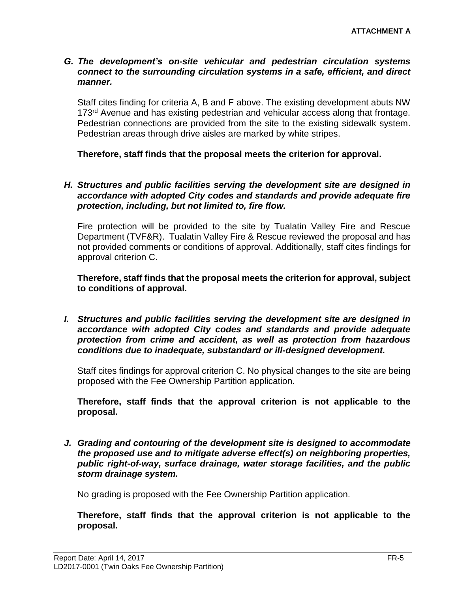#### *G. The development's on-site vehicular and pedestrian circulation systems connect to the surrounding circulation systems in a safe, efficient, and direct manner.*

Staff cites finding for criteria A, B and F above. The existing development abuts NW 173<sup>rd</sup> Avenue and has existing pedestrian and vehicular access along that frontage. Pedestrian connections are provided from the site to the existing sidewalk system. Pedestrian areas through drive aisles are marked by white stripes.

**Therefore, staff finds that the proposal meets the criterion for approval.**

#### *H. Structures and public facilities serving the development site are designed in accordance with adopted City codes and standards and provide adequate fire protection, including, but not limited to, fire flow.*

Fire protection will be provided to the site by Tualatin Valley Fire and Rescue Department (TVF&R). Tualatin Valley Fire & Rescue reviewed the proposal and has not provided comments or conditions of approval. Additionally, staff cites findings for approval criterion C.

**Therefore, staff finds that the proposal meets the criterion for approval, subject to conditions of approval.**

*I. Structures and public facilities serving the development site are designed in accordance with adopted City codes and standards and provide adequate protection from crime and accident, as well as protection from hazardous conditions due to inadequate, substandard or ill-designed development.*

Staff cites findings for approval criterion C. No physical changes to the site are being proposed with the Fee Ownership Partition application.

**Therefore, staff finds that the approval criterion is not applicable to the proposal.** 

*J. Grading and contouring of the development site is designed to accommodate the proposed use and to mitigate adverse effect(s) on neighboring properties, public right-of-way, surface drainage, water storage facilities, and the public storm drainage system.*

No grading is proposed with the Fee Ownership Partition application.

**Therefore, staff finds that the approval criterion is not applicable to the proposal.**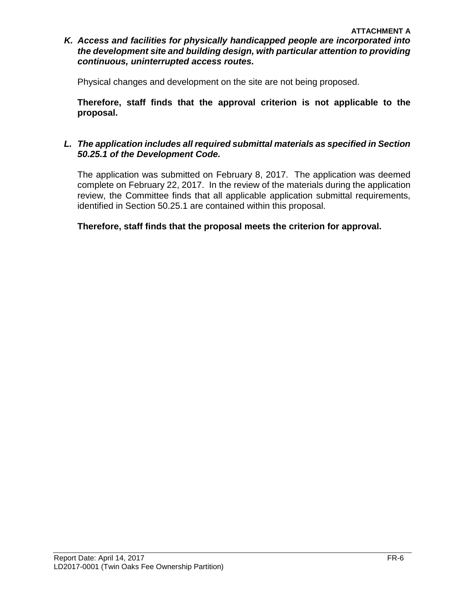#### **ATTACHMENT A** *K. Access and facilities for physically handicapped people are incorporated into the development site and building design, with particular attention to providing continuous, uninterrupted access routes.*

Physical changes and development on the site are not being proposed.

**Therefore, staff finds that the approval criterion is not applicable to the proposal.** 

## *L. The application includes all required submittal materials as specified in Section 50.25.1 of the Development Code.*

The application was submitted on February 8, 2017. The application was deemed complete on February 22, 2017. In the review of the materials during the application review, the Committee finds that all applicable application submittal requirements, identified in Section 50.25.1 are contained within this proposal.

**Therefore, staff finds that the proposal meets the criterion for approval.**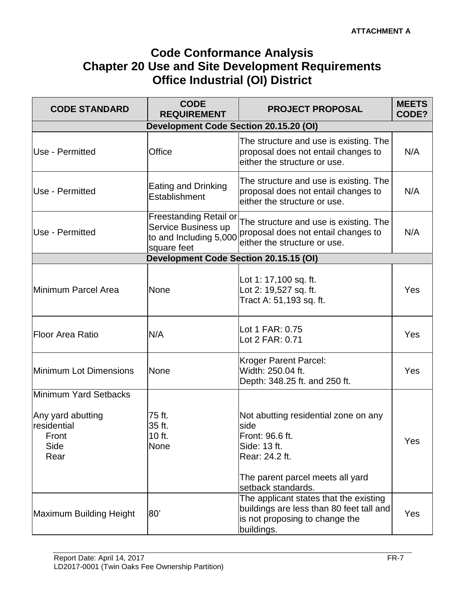# **Code Conformance Analysis Chapter 20 Use and Site Development Requirements Office Industrial (OI) District**

| <b>CODE STANDARD</b>                                      | <b>CODE</b><br><b>REQUIREMENT</b>                                                             | <b>PROJECT PROPOSAL</b>                                                                                                            | <b>MEETS</b><br>CODE? |  |
|-----------------------------------------------------------|-----------------------------------------------------------------------------------------------|------------------------------------------------------------------------------------------------------------------------------------|-----------------------|--|
| Development Code Section 20.15.20 (OI)                    |                                                                                               |                                                                                                                                    |                       |  |
| Use - Permitted                                           | Office                                                                                        | The structure and use is existing. The<br>proposal does not entail changes to<br>either the structure or use.                      | N/A                   |  |
| Use - Permitted                                           | Eating and Drinking<br>Establishment                                                          | The structure and use is existing. The<br>proposal does not entail changes to<br>either the structure or use.                      | N/A                   |  |
| Use - Permitted                                           | <b>Freestanding Retail or</b><br>Service Business up<br>to and Including 5,000<br>square feet | The structure and use is existing. The<br>proposal does not entail changes to<br>either the structure or use.                      | N/A                   |  |
|                                                           | <b>Development Code Section 20.15.15 (OI)</b>                                                 |                                                                                                                                    |                       |  |
| Minimum Parcel Area                                       | <b>None</b>                                                                                   | Lot 1: 17,100 sq. ft.<br>Lot 2: 19,527 sq. ft.<br>Tract A: 51,193 sq. ft.                                                          | <b>Yes</b>            |  |
| <b>Floor Area Ratio</b>                                   | N/A                                                                                           | Lot 1 FAR: 0.75<br>Lot 2 FAR: 0.71                                                                                                 | <b>Yes</b>            |  |
| <b>Minimum Lot Dimensions</b>                             | <b>None</b>                                                                                   | Kroger Parent Parcel:<br>Width: 250.04 ft.<br>Depth: 348.25 ft. and 250 ft.                                                        | <b>Yes</b>            |  |
| Minimum Yard Setbacks                                     |                                                                                               |                                                                                                                                    |                       |  |
| Any yard abutting<br>residential<br>Front<br>Side<br>Rear | 75 ft.<br>35 ft.<br>10 ft.<br>None                                                            | Not abutting residential zone on any<br>side<br>Front: 96.6 ft.<br>Side: 13 ft.<br>Rear: 24.2 ft.                                  | Yes                   |  |
|                                                           |                                                                                               | The parent parcel meets all yard<br>setback standards.                                                                             |                       |  |
| Maximum Building Height                                   | 80'                                                                                           | The applicant states that the existing<br>buildings are less than 80 feet tall and<br>is not proposing to change the<br>buildings. | <b>Yes</b>            |  |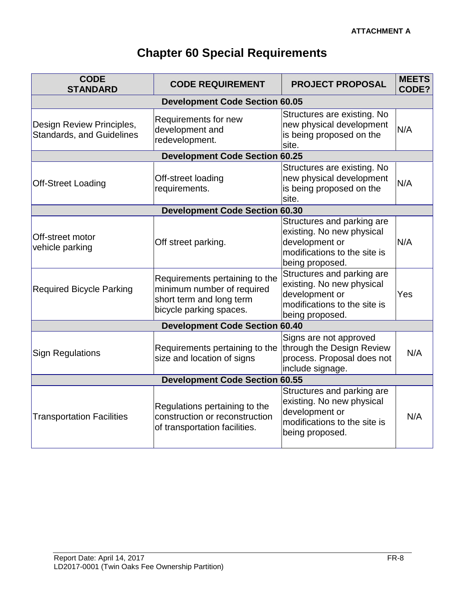# **Chapter 60 Special Requirements**

| <b>CODE</b><br><b>STANDARD</b>                                | <b>CODE REQUIREMENT</b>                                                                                             | <b>PROJECT PROPOSAL</b>                                                                                                      | <b>MEETS</b><br>CODE? |  |
|---------------------------------------------------------------|---------------------------------------------------------------------------------------------------------------------|------------------------------------------------------------------------------------------------------------------------------|-----------------------|--|
| <b>Development Code Section 60.05</b>                         |                                                                                                                     |                                                                                                                              |                       |  |
| Design Review Principles,<br><b>Standards, and Guidelines</b> | Requirements for new<br>development and<br>redevelopment.                                                           | Structures are existing. No<br>new physical development<br>is being proposed on the<br>site.                                 | N/A                   |  |
|                                                               | <b>Development Code Section 60.25</b>                                                                               |                                                                                                                              |                       |  |
| <b>Off-Street Loading</b>                                     | Off-street loading<br>requirements.                                                                                 | Structures are existing. No<br>new physical development<br>is being proposed on the<br>site.                                 | N/A                   |  |
|                                                               | <b>Development Code Section 60.30</b>                                                                               |                                                                                                                              |                       |  |
| <b>Off-street motor</b><br>vehicle parking                    | Off street parking.                                                                                                 | Structures and parking are<br>existing. No new physical<br>development or<br>modifications to the site is<br>being proposed. | N/A                   |  |
| <b>Required Bicycle Parking</b>                               | Requirements pertaining to the<br>minimum number of required<br>short term and long term<br>bicycle parking spaces. | Structures and parking are<br>existing. No new physical<br>development or<br>modifications to the site is<br>being proposed. | Yes                   |  |
| <b>Development Code Section 60.40</b>                         |                                                                                                                     |                                                                                                                              |                       |  |
| <b>Sign Regulations</b>                                       | Requirements pertaining to the<br>size and location of signs                                                        | Signs are not approved<br>through the Design Review<br>process. Proposal does not<br>include signage.                        | N/A                   |  |
| <b>Development Code Section 60.55</b>                         |                                                                                                                     |                                                                                                                              |                       |  |
| <b>Transportation Facilities</b>                              | Regulations pertaining to the<br>construction or reconstruction<br>of transportation facilities.                    | Structures and parking are<br>existing. No new physical<br>development or<br>modifications to the site is<br>being proposed. | N/A                   |  |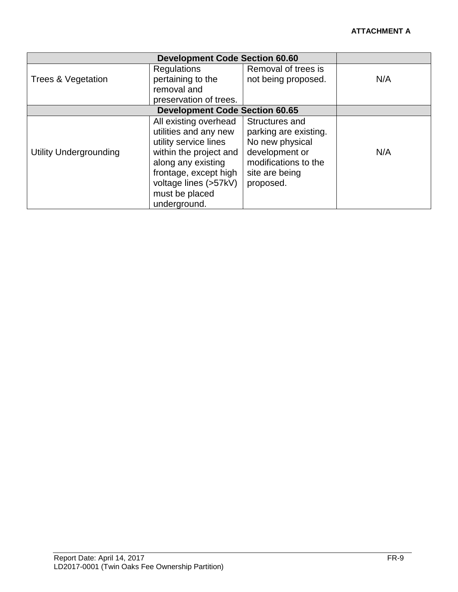| <b>Development Code Section 60.60</b> |                                                                                                                                                                                                             |                                                                                                                                     |     |
|---------------------------------------|-------------------------------------------------------------------------------------------------------------------------------------------------------------------------------------------------------------|-------------------------------------------------------------------------------------------------------------------------------------|-----|
| Trees & Vegetation                    | <b>Regulations</b><br>pertaining to the<br>removal and<br>preservation of trees.                                                                                                                            | Removal of trees is<br>not being proposed.                                                                                          | N/A |
|                                       | <b>Development Code Section 60.65</b>                                                                                                                                                                       |                                                                                                                                     |     |
| <b>Utility Undergrounding</b>         | All existing overhead<br>utilities and any new<br>utility service lines<br>within the project and<br>along any existing<br>frontage, except high<br>voltage lines (>57kV)<br>must be placed<br>underground. | Structures and<br>parking are existing.<br>No new physical<br>development or<br>modifications to the<br>site are being<br>proposed. | N/A |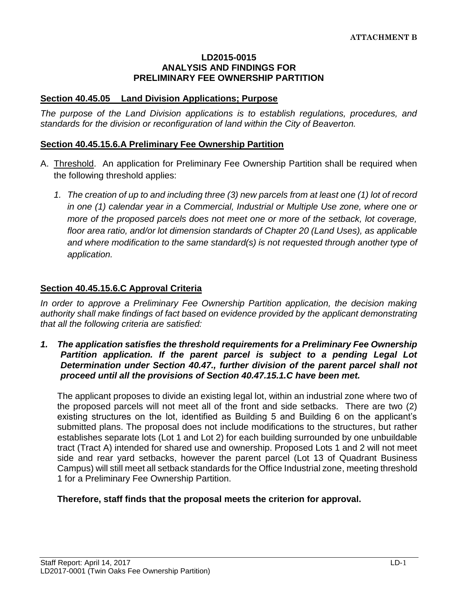#### **LD2015-0015 ANALYSIS AND FINDINGS FOR PRELIMINARY FEE OWNERSHIP PARTITION**

#### **Section 40.45.05 Land Division Applications; Purpose**

*The purpose of the Land Division applications is to establish regulations, procedures, and standards for the division or reconfiguration of land within the City of Beaverton.* 

## **Section 40.45.15.6.A Preliminary Fee Ownership Partition**

- A. Threshold. An application for Preliminary Fee Ownership Partition shall be required when the following threshold applies:
	- *1. The creation of up to and including three (3) new parcels from at least one (1) lot of record in one (1) calendar year in a Commercial, Industrial or Multiple Use zone, where one or more of the proposed parcels does not meet one or more of the setback, lot coverage, floor area ratio, and/or lot dimension standards of Chapter 20 (Land Uses), as applicable and where modification to the same standard(s) is not requested through another type of application.*

## **Section 40.45.15.6.C Approval Criteria**

In order to approve a Preliminary Fee Ownership Partition application, the decision making *authority shall make findings of fact based on evidence provided by the applicant demonstrating that all the following criteria are satisfied:*

*1. The application satisfies the threshold requirements for a Preliminary Fee Ownership Partition application. If the parent parcel is subject to a pending Legal Lot Determination under Section 40.47., further division of the parent parcel shall not proceed until all the provisions of Section 40.47.15.1.C have been met.*

The applicant proposes to divide an existing legal lot, within an industrial zone where two of the proposed parcels will not meet all of the front and side setbacks. There are two (2) existing structures on the lot, identified as Building 5 and Building 6 on the applicant's submitted plans. The proposal does not include modifications to the structures, but rather establishes separate lots (Lot 1 and Lot 2) for each building surrounded by one unbuildable tract (Tract A) intended for shared use and ownership. Proposed Lots 1 and 2 will not meet side and rear yard setbacks, however the parent parcel (Lot 13 of Quadrant Business Campus) will still meet all setback standards for the Office Industrial zone, meeting threshold 1 for a Preliminary Fee Ownership Partition.

## **Therefore, staff finds that the proposal meets the criterion for approval.**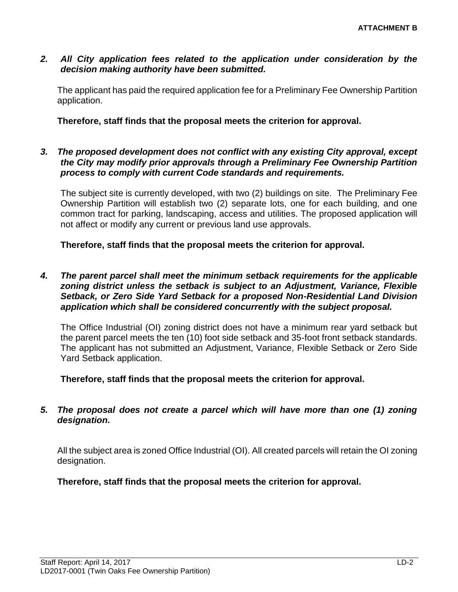#### *2. All City application fees related to the application under consideration by the decision making authority have been submitted.*

The applicant has paid the required application fee for a Preliminary Fee Ownership Partition application.

#### **Therefore, staff finds that the proposal meets the criterion for approval.**

*3. The proposed development does not conflict with any existing City approval, except the City may modify prior approvals through a Preliminary Fee Ownership Partition process to comply with current Code standards and requirements.*

The subject site is currently developed, with two (2) buildings on site. The Preliminary Fee Ownership Partition will establish two (2) separate lots, one for each building, and one common tract for parking, landscaping, access and utilities. The proposed application will not affect or modify any current or previous land use approvals.

#### **Therefore, staff finds that the proposal meets the criterion for approval.**

*4. The parent parcel shall meet the minimum setback requirements for the applicable zoning district unless the setback is subject to an Adjustment, Variance, Flexible Setback, or Zero Side Yard Setback for a proposed Non-Residential Land Division application which shall be considered concurrently with the subject proposal.*

The Office Industrial (OI) zoning district does not have a minimum rear yard setback but the parent parcel meets the ten (10) foot side setback and 35-foot front setback standards. The applicant has not submitted an Adjustment, Variance, Flexible Setback or Zero Side Yard Setback application.

**Therefore, staff finds that the proposal meets the criterion for approval.**

#### *5. The proposal does not create a parcel which will have more than one (1) zoning designation.*

All the subject area is zoned Office Industrial (OI). All created parcels will retain the OI zoning designation.

**Therefore, staff finds that the proposal meets the criterion for approval.**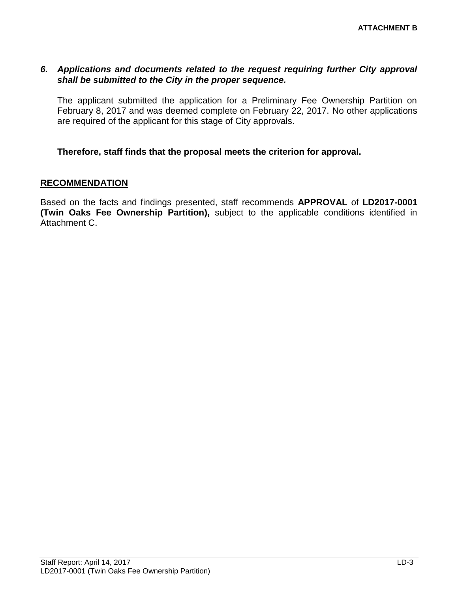#### *6. Applications and documents related to the request requiring further City approval shall be submitted to the City in the proper sequence.*

The applicant submitted the application for a Preliminary Fee Ownership Partition on February 8, 2017 and was deemed complete on February 22, 2017. No other applications are required of the applicant for this stage of City approvals.

#### **Therefore, staff finds that the proposal meets the criterion for approval.**

#### **RECOMMENDATION**

Based on the facts and findings presented, staff recommends **APPROVAL** of **LD2017-0001 (Twin Oaks Fee Ownership Partition),** subject to the applicable conditions identified in Attachment C.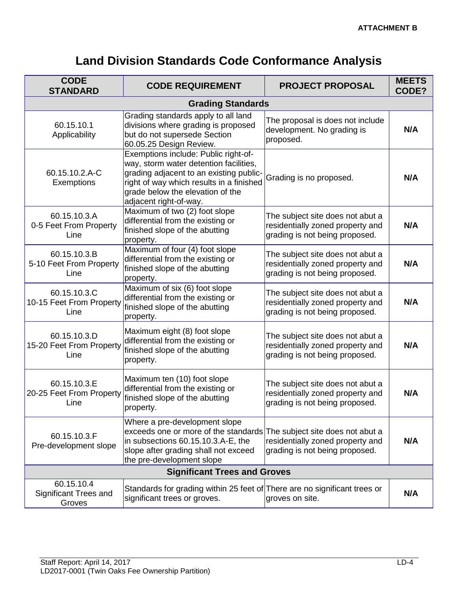# **Land Division Standards Code Conformance Analysis**

| <b>CODE</b><br><b>STANDARD</b>                       | <b>CODE REQUIREMENT</b>                                                                                                                                                                                                             | <b>PROJECT PROPOSAL</b>                                                                                | <b>MEETS</b><br>CODE? |  |
|------------------------------------------------------|-------------------------------------------------------------------------------------------------------------------------------------------------------------------------------------------------------------------------------------|--------------------------------------------------------------------------------------------------------|-----------------------|--|
| <b>Grading Standards</b>                             |                                                                                                                                                                                                                                     |                                                                                                        |                       |  |
| 60.15.10.1<br>Applicability                          | Grading standards apply to all land<br>divisions where grading is proposed<br>but do not supersede Section<br>60.05.25 Design Review.                                                                                               | The proposal is does not include<br>development. No grading is<br>proposed.                            | N/A                   |  |
| 60.15.10.2.A-C<br>Exemptions                         | Exemptions include: Public right-of-<br>way, storm water detention facilities,<br>grading adjacent to an existing public-<br>right of way which results in a finished<br>grade below the elevation of the<br>adjacent right-of-way. | Grading is no proposed.                                                                                | N/A                   |  |
| 60.15.10.3.A<br>0-5 Feet From Property<br>Line       | Maximum of two (2) foot slope<br>differential from the existing or<br>finished slope of the abutting<br>property.                                                                                                                   | The subject site does not abut a<br>residentially zoned property and<br>grading is not being proposed. | N/A                   |  |
| 60.15.10.3.B<br>5-10 Feet From Property<br>Line      | Maximum of four (4) foot slope<br>differential from the existing or<br>finished slope of the abutting<br>property.                                                                                                                  | The subject site does not abut a<br>residentially zoned property and<br>grading is not being proposed. | N/A                   |  |
| 60.15.10.3.C<br>10-15 Feet From Property<br>Line     | Maximum of six (6) foot slope<br>differential from the existing or<br>finished slope of the abutting<br>property.                                                                                                                   | The subject site does not abut a<br>residentially zoned property and<br>grading is not being proposed. | N/A                   |  |
| 60.15.10.3.D<br>15-20 Feet From Property<br>Line     | Maximum eight (8) foot slope<br>differential from the existing or<br>finished slope of the abutting<br>property.                                                                                                                    | The subject site does not abut a<br>residentially zoned property and<br>grading is not being proposed. | N/A                   |  |
| 60.15.10.3.E<br>20-25 Feet From Property<br>Line     | Maximum ten (10) foot slope<br>differential from the existing or<br>finished slope of the abutting<br>property.                                                                                                                     | The subject site does not abut a<br>residentially zoned property and<br>grading is not being proposed. | N/A                   |  |
| 60.15.10.3.F<br>Pre-development slope                | Where a pre-development slope<br>exceeds one or more of the standards<br>in subsections 60.15.10.3.A-E, the<br>slope after grading shall not exceed<br>the pre-development slope                                                    | The subject site does not abut a<br>residentially zoned property and<br>grading is not being proposed. | N/A                   |  |
| <b>Significant Trees and Groves</b>                  |                                                                                                                                                                                                                                     |                                                                                                        |                       |  |
| 60.15.10.4<br><b>Significant Trees and</b><br>Groves | Standards for grading within 25 feet of There are no significant trees or<br>significant trees or groves.                                                                                                                           | groves on site.                                                                                        | N/A                   |  |